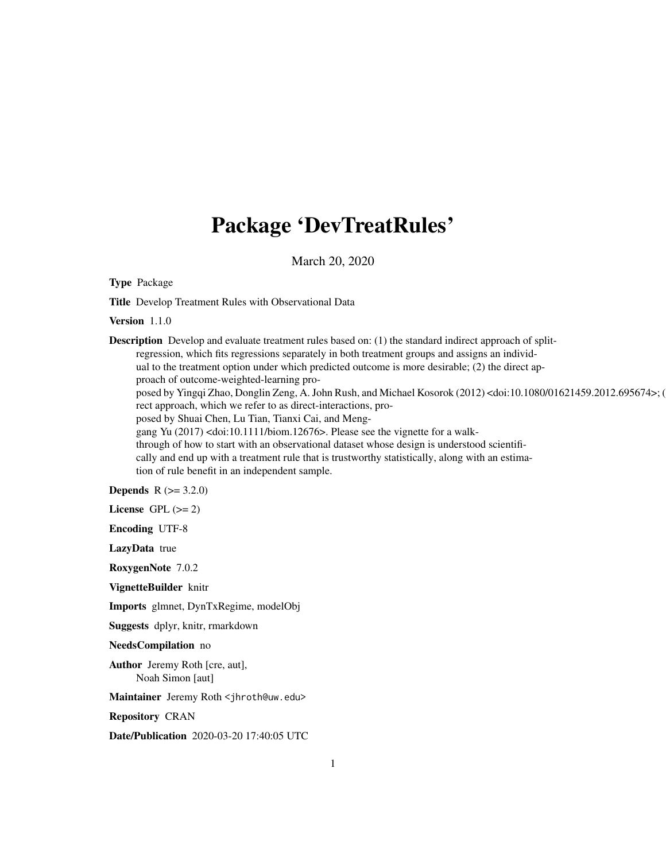## Package 'DevTreatRules'

March 20, 2020

Type Package

Title Develop Treatment Rules with Observational Data

Version 1.1.0

**Description** Develop and evaluate treatment rules based on: (1) the standard indirect approach of splitregression, which fits regressions separately in both treatment groups and assigns an individual to the treatment option under which predicted outcome is more desirable; (2) the direct approach of outcome-weighted-learning proposed by Yingqi Zhao, Donglin Zeng, A. John Rush, and Michael Kosorok (2012) <doi:10.1080/01621459.2012.695674>; ( rect approach, which we refer to as direct-interactions, proposed by Shuai Chen, Lu Tian, Tianxi Cai, and Menggang Yu (2017) <doi:10.1111/biom.12676>. Please see the vignette for a walkthrough of how to start with an observational dataset whose design is understood scientifically and end up with a treatment rule that is trustworthy statistically, along with an estimation of rule benefit in an independent sample. **Depends** R  $(>= 3.2.0)$ 

License GPL  $(>= 2)$ 

Encoding UTF-8

LazyData true

RoxygenNote 7.0.2

VignetteBuilder knitr

Imports glmnet, DynTxRegime, modelObj

Suggests dplyr, knitr, rmarkdown

NeedsCompilation no

Author Jeremy Roth [cre, aut], Noah Simon [aut]

Maintainer Jeremy Roth <jhroth@uw.edu>

Repository CRAN

Date/Publication 2020-03-20 17:40:05 UTC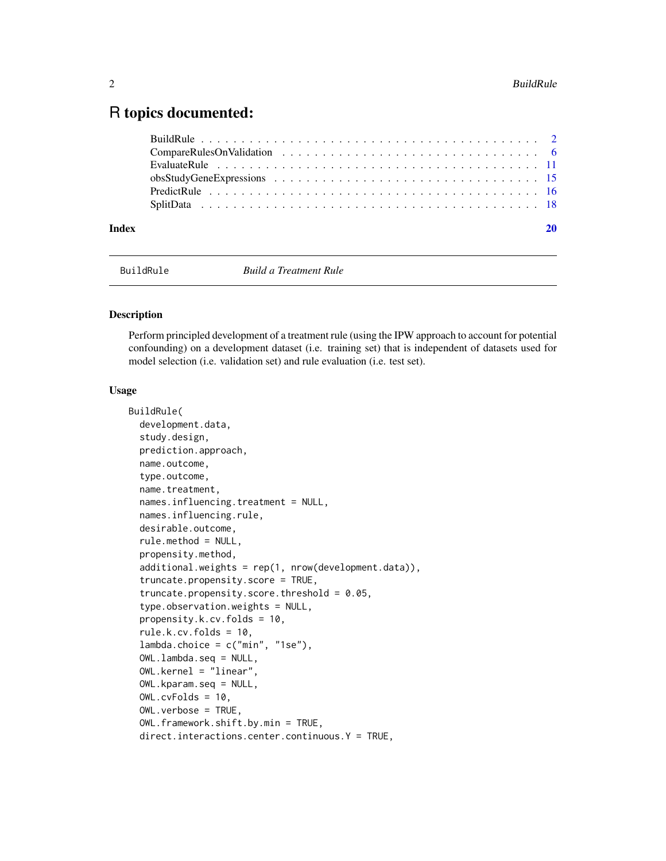### <span id="page-1-0"></span>R topics documented:

| Index |  |
|-------|--|
|       |  |
|       |  |
|       |  |
|       |  |
|       |  |
|       |  |

BuildRule *Build a Treatment Rule*

#### Description

Perform principled development of a treatment rule (using the IPW approach to account for potential confounding) on a development dataset (i.e. training set) that is independent of datasets used for model selection (i.e. validation set) and rule evaluation (i.e. test set).

#### Usage

```
BuildRule(
  development.data,
  study.design,
  prediction.approach,
  name.outcome,
  type.outcome,
  name.treatment,
  names.influencing.treatment = NULL,
  names.influencing.rule,
  desirable.outcome,
  rule.method = NULL,
  propensity.method,
  additional.weights = rep(1, nrow(development.data)),
  truncate.propensity.score = TRUE,
  truncate.propensity.score.threshold = 0.05,
  type.observation.weights = NULL,
  propensity.k.cv.folds = 10,
  rule.k.cv.folds = 10,
  lambda.choice = c("min", "1se"),OWL.lambda.seq = NULL,
  OWL.kernel = "linear",
  OWL.kparam.seq = NULL,
  OWL.cvFolds = 10,
  OWL.verbose = TRUE,
  OWL.framework.shift.by.min = TRUE,
  direct.interactions.center.continuous.Y = TRUE,
```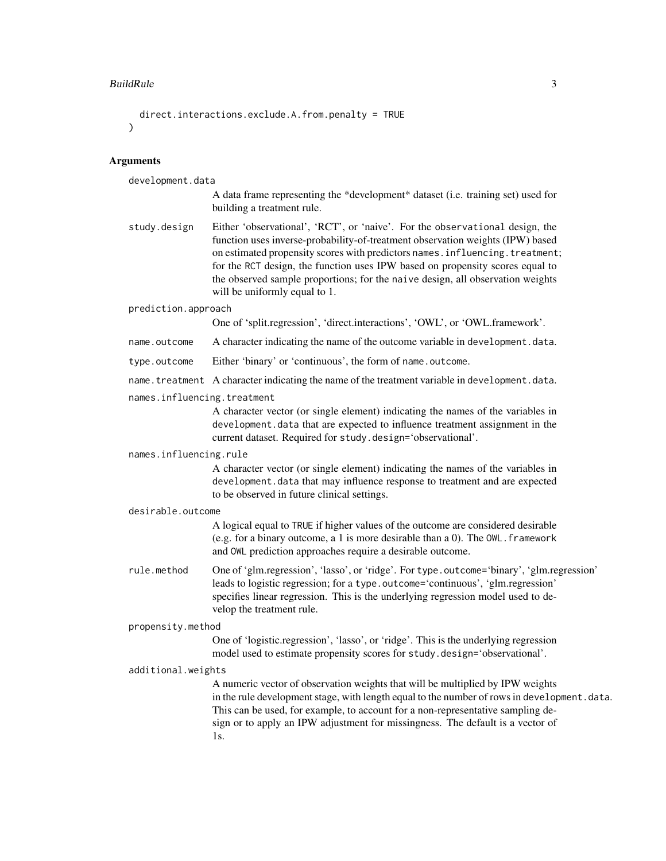#### BuildRule 3

```
direct.interactions.exclude.A.from.penalty = TRUE
)
```
#### Arguments

development.data

- A data frame representing the \*development\* dataset (i.e. training set) used for building a treatment rule.
- study.design Either 'observational', 'RCT', or 'naive'. For the observational design, the function uses inverse-probability-of-treatment observation weights (IPW) based on estimated propensity scores with predictors names.influencing.treatment; for the RCT design, the function uses IPW based on propensity scores equal to the observed sample proportions; for the naive design, all observation weights will be uniformly equal to 1.

#### prediction.approach

One of 'split.regression', 'direct.interactions', 'OWL', or 'OWL.framework'.

- name.outcome A character indicating the name of the outcome variable in development.data.
- type.outcome Either 'binary' or 'continuous', the form of name.outcome.
- name.treatment A character indicating the name of the treatment variable in development.data.
- names.influencing.treatment

A character vector (or single element) indicating the names of the variables in development.data that are expected to influence treatment assignment in the current dataset. Required for study.design='observational'.

#### names.influencing.rule

A character vector (or single element) indicating the names of the variables in development.data that may influence response to treatment and are expected to be observed in future clinical settings.

#### desirable.outcome

A logical equal to TRUE if higher values of the outcome are considered desirable (e.g. for a binary outcome, a 1 is more desirable than a 0). The  $OWL$ . framework and OWL prediction approaches require a desirable outcome.

rule.method One of 'glm.regression', 'lasso', or 'ridge'. For type.outcome='binary', 'glm.regression' leads to logistic regression; for a type.outcome='continuous', 'glm.regression' specifies linear regression. This is the underlying regression model used to develop the treatment rule.

#### propensity.method

One of 'logistic.regression', 'lasso', or 'ridge'. This is the underlying regression model used to estimate propensity scores for study.design='observational'.

#### additional.weights

A numeric vector of observation weights that will be multiplied by IPW weights in the rule development stage, with length equal to the number of rows in development. data. This can be used, for example, to account for a non-representative sampling design or to apply an IPW adjustment for missingness. The default is a vector of 1s.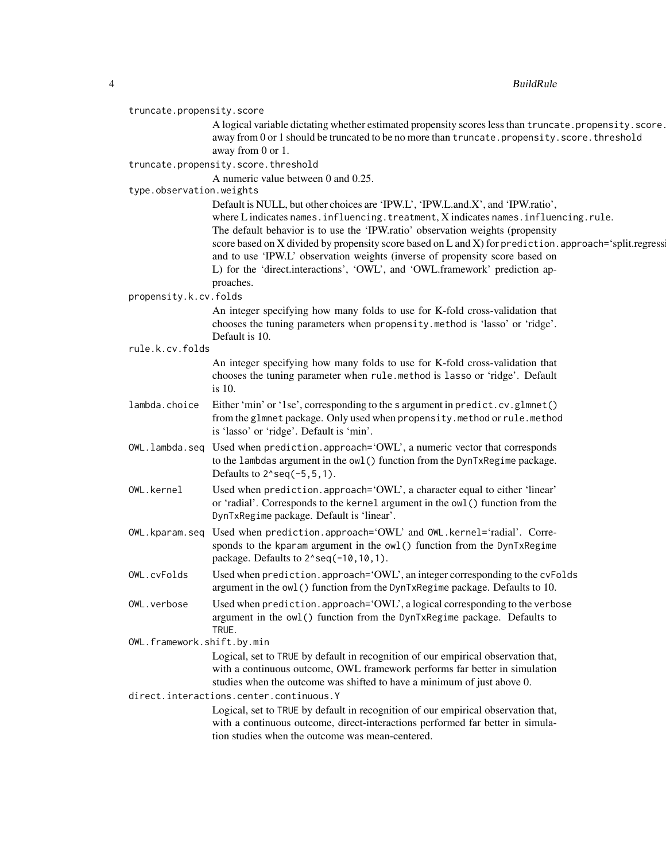4 BuildRule

#### truncate.propensity.score

A logical variable dictating whether estimated propensity scores less than truncate.propensity.score. away from 0 or 1 should be truncated to be no more than truncate.propensity.score.threshold away from 0 or 1.

#### truncate.propensity.score.threshold

A numeric value between 0 and 0.25.

#### type.observation.weights

Default is NULL, but other choices are 'IPW.L', 'IPW.L.and.X', and 'IPW.ratio', where L indicates names.influencing.treatment, X indicates names.influencing.rule. The default behavior is to use the 'IPW.ratio' observation weights (propensity score based on X divided by propensity score based on L and X) for prediction. approach='split.regress and to use 'IPW.L' observation weights (inverse of propensity score based on L) for the 'direct.interactions', 'OWL', and 'OWL.framework' prediction approaches.

#### propensity.k.cv.folds

An integer specifying how many folds to use for K-fold cross-validation that chooses the tuning parameters when propensity.method is 'lasso' or 'ridge'. Default is 10.

#### rule.k.cv.folds

An integer specifying how many folds to use for K-fold cross-validation that chooses the tuning parameter when rule.method is lasso or 'ridge'. Default is 10.

- lambda.choice Either 'min' or '1se', corresponding to the s argument in predict.cv.glmnet() from the glmnet package. Only used when propensity.method or rule.method is 'lasso' or 'ridge'. Default is 'min'.
- OWL.lambda.seq Used when prediction.approach='OWL', a numeric vector that corresponds to the lambdas argument in the owl() function from the DynTxRegime package. Defaults to  $2$ <sup> $\degree$ </sup>seq( $-5,5,1$ ).
- OWL.kernel Used when prediction.approach='OWL', a character equal to either 'linear' or 'radial'. Corresponds to the kernel argument in the owl() function from the DynTxRegime package. Default is 'linear'.
- OWL.kparam.seq Used when prediction.approach='OWL' and OWL.kernel='radial'. Corresponds to the kparam argument in the owl() function from the DynTxRegime package. Defaults to  $2$ ^seq(-10,10,1).
- OWL.cvFolds Used when prediction.approach='OWL', an integer corresponding to the cvFolds argument in the owl() function from the DynTxRegime package. Defaults to 10.
- OWL. verbose Used when prediction.approach='OWL', a logical corresponding to the verbose argument in the owl() function from the DynTxRegime package. Defaults to TRUE.

OWL.framework.shift.by.min

Logical, set to TRUE by default in recognition of our empirical observation that, with a continuous outcome, OWL framework performs far better in simulation studies when the outcome was shifted to have a minimum of just above 0.

direct.interactions.center.continuous.Y

Logical, set to TRUE by default in recognition of our empirical observation that, with a continuous outcome, direct-interactions performed far better in simulation studies when the outcome was mean-centered.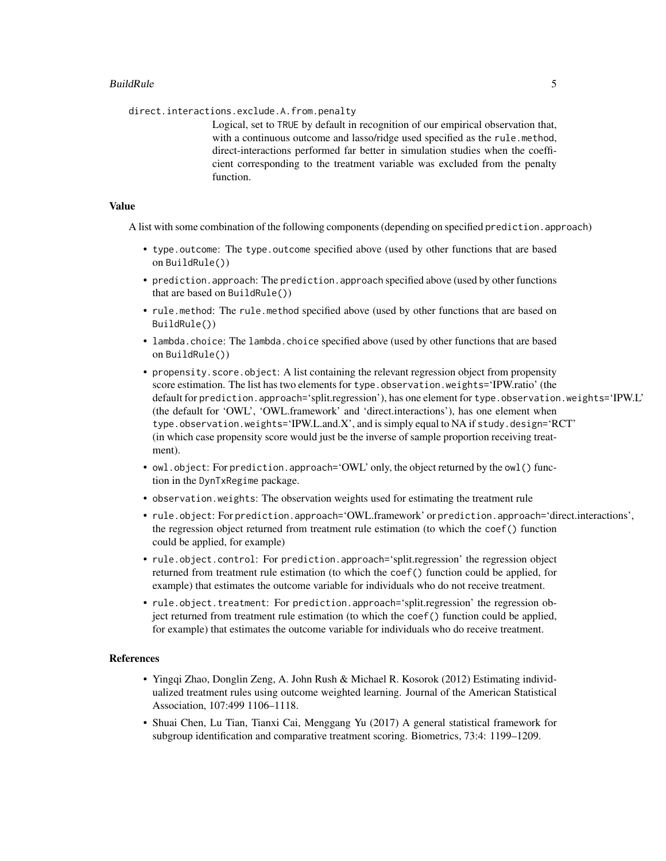direct.interactions.exclude.A.from.penalty

Logical, set to TRUE by default in recognition of our empirical observation that, with a continuous outcome and lasso/ridge used specified as the rule.method, direct-interactions performed far better in simulation studies when the coefficient corresponding to the treatment variable was excluded from the penalty function.

#### Value

A list with some combination of the following components (depending on specified prediction.approach)

- type.outcome: The type.outcome specified above (used by other functions that are based on BuildRule())
- prediction.approach: The prediction.approach specified above (used by other functions that are based on BuildRule())
- rule.method: The rule.method specified above (used by other functions that are based on BuildRule())
- lambda.choice: The lambda.choice specified above (used by other functions that are based on BuildRule())
- propensity. score. object: A list containing the relevant regression object from propensity score estimation. The list has two elements for type. observation.weights='IPW.ratio' (the default for prediction.approach='split.regression'), has one element for type.observation.weights='IPW.L' (the default for 'OWL', 'OWL.framework' and 'direct.interactions'), has one element when type.observation.weights='IPW.L.and.X', and is simply equal to NA if study.design='RCT' (in which case propensity score would just be the inverse of sample proportion receiving treatment).
- owl.object: For prediction.approach='OWL' only, the object returned by the owl() function in the DynTxRegime package.
- observation.weights: The observation weights used for estimating the treatment rule
- rule.object: For prediction.approach='OWL.framework' or prediction.approach='direct.interactions', the regression object returned from treatment rule estimation (to which the coef() function could be applied, for example)
- rule.object.control: For prediction.approach='split.regression' the regression object returned from treatment rule estimation (to which the coef() function could be applied, for example) that estimates the outcome variable for individuals who do not receive treatment.
- rule.object.treatment: For prediction.approach='split.regression' the regression object returned from treatment rule estimation (to which the coef() function could be applied, for example) that estimates the outcome variable for individuals who do receive treatment.

#### **References**

- Yingqi Zhao, Donglin Zeng, A. John Rush & Michael R. Kosorok (2012) Estimating individualized treatment rules using outcome weighted learning. Journal of the American Statistical Association, 107:499 1106–1118.
- Shuai Chen, Lu Tian, Tianxi Cai, Menggang Yu (2017) A general statistical framework for subgroup identification and comparative treatment scoring. Biometrics, 73:4: 1199–1209.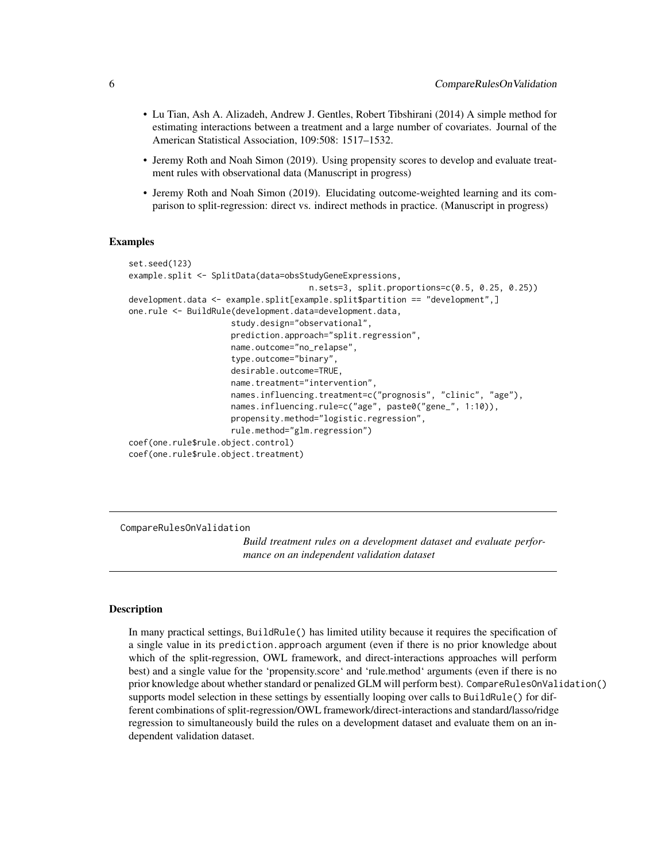- <span id="page-5-0"></span>• Lu Tian, Ash A. Alizadeh, Andrew J. Gentles, Robert Tibshirani (2014) A simple method for estimating interactions between a treatment and a large number of covariates. Journal of the American Statistical Association, 109:508: 1517–1532.
- Jeremy Roth and Noah Simon (2019). Using propensity scores to develop and evaluate treatment rules with observational data (Manuscript in progress)
- Jeremy Roth and Noah Simon (2019). Elucidating outcome-weighted learning and its comparison to split-regression: direct vs. indirect methods in practice. (Manuscript in progress)

#### Examples

```
set.seed(123)
example.split <- SplitData(data=obsStudyGeneExpressions,
                                     n.sets=3, split.proportions=c(0.5, 0.25, 0.25))
development.data <- example.split[example.split$partition == "development",]
one.rule <- BuildRule(development.data=development.data,
                     study.design="observational",
                     prediction.approach="split.regression",
                     name.outcome="no_relapse",
                     type.outcome="binary",
                     desirable.outcome=TRUE,
                     name.treatment="intervention",
                     names.influencing.treatment=c("prognosis", "clinic", "age"),
                     names.influencing.rule=c("age", paste0("gene_", 1:10)),
                     propensity.method="logistic.regression",
                     rule.method="glm.regression")
coef(one.rule$rule.object.control)
coef(one.rule$rule.object.treatment)
```
CompareRulesOnValidation

*Build treatment rules on a development dataset and evaluate performance on an independent validation dataset*

#### Description

In many practical settings, BuildRule() has limited utility because it requires the specification of a single value in its prediction.approach argument (even if there is no prior knowledge about which of the split-regression, OWL framework, and direct-interactions approaches will perform best) and a single value for the 'propensity.score' and 'rule.method' arguments (even if there is no prior knowledge about whether standard or penalized GLM will perform best). CompareRulesOnValidation() supports model selection in these settings by essentially looping over calls to BuildRule() for different combinations of split-regression/OWL framework/direct-interactions and standard/lasso/ridge regression to simultaneously build the rules on a development dataset and evaluate them on an independent validation dataset.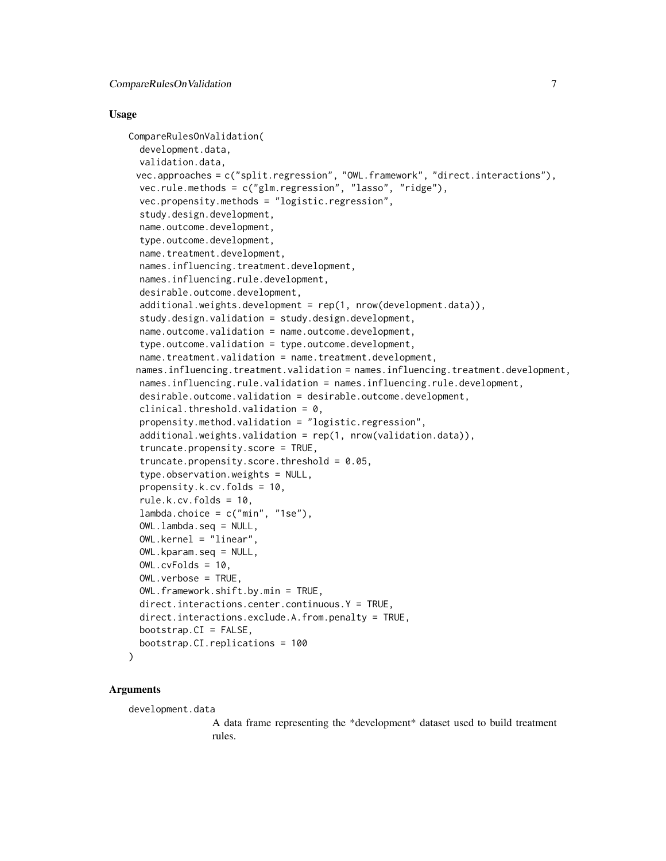#### Usage

```
CompareRulesOnValidation(
  development.data,
  validation.data,
 vec.approaches = c("split.regression", "OWL.framework", "direct.interactions"),
  vec.rule.methods = c("glm.regression", "lasso", "ridge"),
  vec.propensity.methods = "logistic.regression",
  study.design.development,
  name.outcome.development,
  type.outcome.development,
  name.treatment.development,
  names.influencing.treatment.development,
  names.influencing.rule.development,
  desirable.outcome.development,
  additional.weights.development = rep(1, nrow(development.data)),
  study.design.validation = study.design.development,
  name.outcome.validation = name.outcome.development,
  type.outcome.validation = type.outcome.development,
  name.treatment.validation = name.treatment.development,
 names.influencing.treatment.validation = names.influencing.treatment.development,
  names.influencing.rule.validation = names.influencing.rule.development,
  desirable.outcome.validation = desirable.outcome.development,
  clinical.threshold.validation = 0,
  propensity.method.validation = "logistic.regression",
  additional.weights.validation = rep(1, nrow(validation.data)),
  truncate.propensity.score = TRUE,
  truncate.propensity.score.threshold = 0.05,
  type.observation.weights = NULL,
  propensity.k.cv.folds = 10,
  rule.k.cv.folds = 10,
  lambda.choice = c("min", "1se"),OWL.lambda.seq = NULL,
  OWL.kernel = "linear",
  OWL.kparam.seq = NULL,
  OWL.cvFolds = 10,
  OWL.verbose = TRUE,
  OWL.framework.shift.by.min = TRUE,
  direct.interactions.center.continuous.Y = TRUE,
  direct.interactions.exclude.A.from.penalty = TRUE,
  bootstrap.CI = FALSE,
  bootstrap.CI.replications = 100
```
#### Arguments

)

development.data

A data frame representing the \*development\* dataset used to build treatment rules.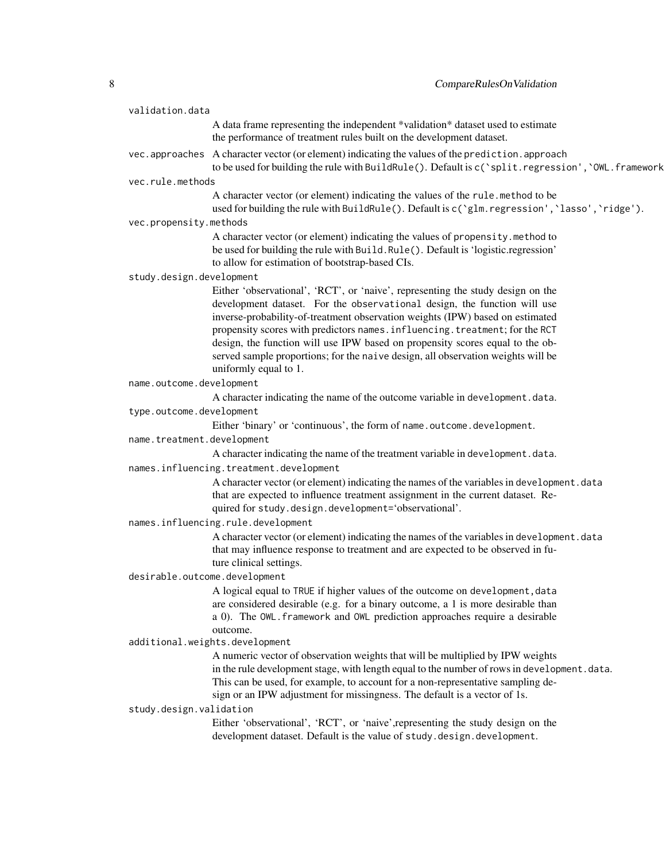| validation.data                         |                                                                                                      |                                                                                                                                                                                                       |  |  |
|-----------------------------------------|------------------------------------------------------------------------------------------------------|-------------------------------------------------------------------------------------------------------------------------------------------------------------------------------------------------------|--|--|
|                                         |                                                                                                      | A data frame representing the independent *validation* dataset used to estimate                                                                                                                       |  |  |
|                                         |                                                                                                      | the performance of treatment rules built on the development dataset.                                                                                                                                  |  |  |
|                                         |                                                                                                      | vec.approaches A character vector (or element) indicating the values of the prediction.approach<br>to be used for building the rule with BuildRule(). Default is c('split.regression', 'OWL.framework |  |  |
|                                         | vec.rule.methods                                                                                     |                                                                                                                                                                                                       |  |  |
|                                         |                                                                                                      | A character vector (or element) indicating the values of the rule.method to be                                                                                                                        |  |  |
|                                         |                                                                                                      | used for building the rule with BuildRule(). Default is c('glm. regression', 'lasso', 'ridge').                                                                                                       |  |  |
|                                         | vec.propensity.methods                                                                               |                                                                                                                                                                                                       |  |  |
|                                         |                                                                                                      | A character vector (or element) indicating the values of propensity.method to                                                                                                                         |  |  |
|                                         |                                                                                                      | be used for building the rule with Build.Rule(). Default is 'logistic.regression'                                                                                                                     |  |  |
|                                         |                                                                                                      | to allow for estimation of bootstrap-based CIs.                                                                                                                                                       |  |  |
|                                         | study.design.development                                                                             |                                                                                                                                                                                                       |  |  |
|                                         |                                                                                                      | Either 'observational', 'RCT', or 'naive', representing the study design on the<br>development dataset. For the observational design, the function will use                                           |  |  |
|                                         |                                                                                                      | inverse-probability-of-treatment observation weights (IPW) based on estimated                                                                                                                         |  |  |
|                                         |                                                                                                      | propensity scores with predictors names. influencing. treatment; for the RCT                                                                                                                          |  |  |
|                                         |                                                                                                      | design, the function will use IPW based on propensity scores equal to the ob-                                                                                                                         |  |  |
|                                         |                                                                                                      | served sample proportions; for the naive design, all observation weights will be                                                                                                                      |  |  |
|                                         |                                                                                                      | uniformly equal to 1.                                                                                                                                                                                 |  |  |
|                                         | name.outcome.development                                                                             |                                                                                                                                                                                                       |  |  |
|                                         |                                                                                                      | A character indicating the name of the outcome variable in development.data.                                                                                                                          |  |  |
|                                         | type.outcome.development                                                                             |                                                                                                                                                                                                       |  |  |
|                                         |                                                                                                      | Either 'binary' or 'continuous', the form of name.outcome.development.                                                                                                                                |  |  |
| name.treatment.development              |                                                                                                      |                                                                                                                                                                                                       |  |  |
|                                         |                                                                                                      | A character indicating the name of the treatment variable in development.data.                                                                                                                        |  |  |
| names.influencing.treatment.development |                                                                                                      |                                                                                                                                                                                                       |  |  |
|                                         |                                                                                                      | A character vector (or element) indicating the names of the variables in development.data                                                                                                             |  |  |
|                                         |                                                                                                      | that are expected to influence treatment assignment in the current dataset. Re-                                                                                                                       |  |  |
|                                         |                                                                                                      | quired for study.design.development='observational'.                                                                                                                                                  |  |  |
|                                         |                                                                                                      | names.influencing.rule.development                                                                                                                                                                    |  |  |
|                                         |                                                                                                      | A character vector (or element) indicating the names of the variables in development . data<br>that may influence response to treatment and are expected to be observed in fu-                        |  |  |
|                                         |                                                                                                      | ture clinical settings.                                                                                                                                                                               |  |  |
| desirable.outcome.development           |                                                                                                      |                                                                                                                                                                                                       |  |  |
|                                         |                                                                                                      | A logical equal to TRUE if higher values of the outcome on development, data                                                                                                                          |  |  |
|                                         |                                                                                                      | are considered desirable (e.g. for a binary outcome, a 1 is more desirable than                                                                                                                       |  |  |
|                                         |                                                                                                      | a 0). The OWL. framework and OWL prediction approaches require a desirable                                                                                                                            |  |  |
|                                         |                                                                                                      | outcome.                                                                                                                                                                                              |  |  |
|                                         | additional.weights.development                                                                       |                                                                                                                                                                                                       |  |  |
|                                         |                                                                                                      | A numeric vector of observation weights that will be multiplied by IPW weights                                                                                                                        |  |  |
|                                         |                                                                                                      | in the rule development stage, with length equal to the number of rows in development. data.                                                                                                          |  |  |
|                                         |                                                                                                      | This can be used, for example, to account for a non-representative sampling de-                                                                                                                       |  |  |
|                                         | sign or an IPW adjustment for missingness. The default is a vector of 1s.<br>study.design.validation |                                                                                                                                                                                                       |  |  |
|                                         |                                                                                                      | Either 'observational', 'RCT', or 'naive', representing the study design on the                                                                                                                       |  |  |
|                                         |                                                                                                      | development dataset. Default is the value of study.design.development.                                                                                                                                |  |  |
|                                         |                                                                                                      |                                                                                                                                                                                                       |  |  |
|                                         |                                                                                                      |                                                                                                                                                                                                       |  |  |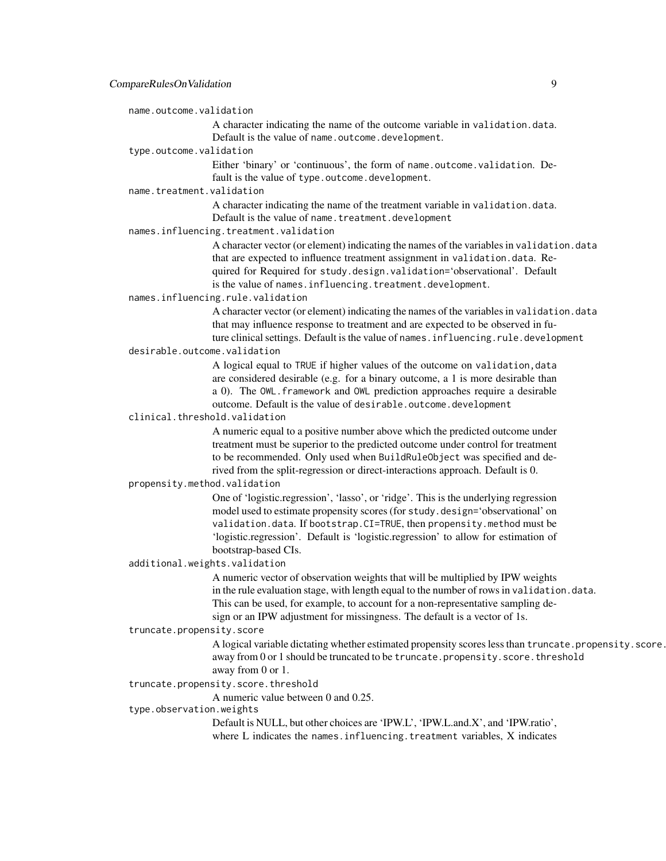name.outcome.validation

A character indicating the name of the outcome variable in validation.data. Default is the value of name.outcome.development.

type.outcome.validation

Either 'binary' or 'continuous', the form of name.outcome.validation. Default is the value of type.outcome.development.

name.treatment.validation

A character indicating the name of the treatment variable in validation.data. Default is the value of name.treatment.development

names.influencing.treatment.validation

A character vector (or element) indicating the names of the variables in validation.data that are expected to influence treatment assignment in validation.data. Required for Required for study.design.validation='observational'. Default is the value of names.influencing.treatment.development.

names.influencing.rule.validation

A character vector (or element) indicating the names of the variables in validation.data that may influence response to treatment and are expected to be observed in future clinical settings. Default is the value of names. influencing.rule.development

desirable.outcome.validation

A logical equal to TRUE if higher values of the outcome on validation,data are considered desirable (e.g. for a binary outcome, a 1 is more desirable than a 0). The OWL.framework and OWL prediction approaches require a desirable outcome. Default is the value of desirable.outcome.development

clinical.threshold.validation

A numeric equal to a positive number above which the predicted outcome under treatment must be superior to the predicted outcome under control for treatment to be recommended. Only used when BuildRuleObject was specified and derived from the split-regression or direct-interactions approach. Default is 0.

propensity.method.validation

One of 'logistic.regression', 'lasso', or 'ridge'. This is the underlying regression model used to estimate propensity scores (for study.design='observational' on validation.data. If bootstrap.CI=TRUE, then propensity.method must be 'logistic.regression'. Default is 'logistic.regression' to allow for estimation of bootstrap-based CIs.

additional.weights.validation

A numeric vector of observation weights that will be multiplied by IPW weights in the rule evaluation stage, with length equal to the number of rows in validation.data. This can be used, for example, to account for a non-representative sampling design or an IPW adjustment for missingness. The default is a vector of 1s.

truncate.propensity.score

A logical variable dictating whether estimated propensity scores less than truncate.propensity.score. away from 0 or 1 should be truncated to be truncate.propensity.score.threshold away from 0 or 1.

truncate.propensity.score.threshold

A numeric value between 0 and 0.25.

#### type.observation.weights

Default is NULL, but other choices are 'IPW.L', 'IPW.L.and.X', and 'IPW.ratio', where L indicates the names.influencing.treatment variables, X indicates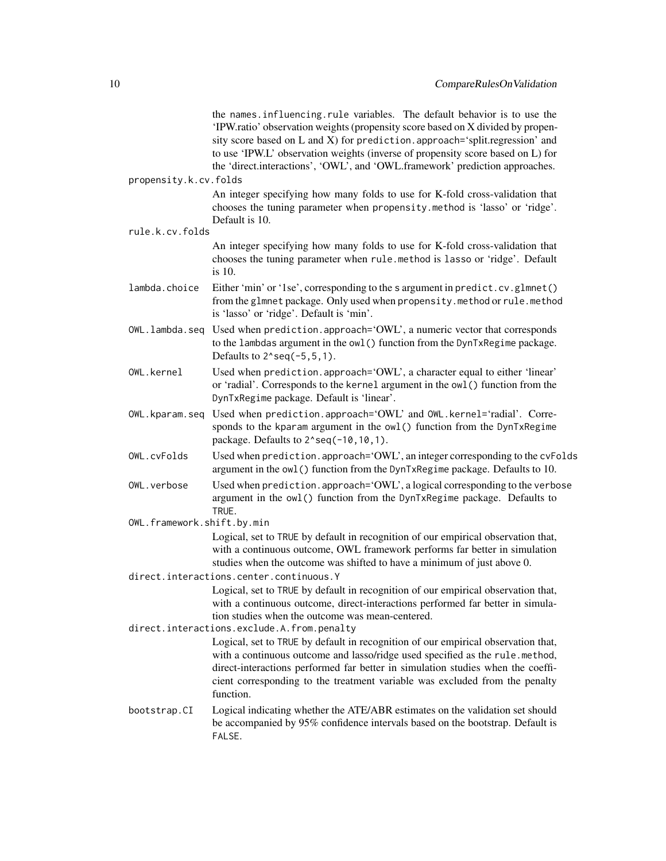|                            | the names.influencing.rule variables. The default behavior is to use the<br>'IPW.ratio' observation weights (propensity score based on X divided by propen-<br>sity score based on L and X) for prediction. approach='split.regression' and<br>to use 'IPW.L' observation weights (inverse of propensity score based on L) for<br>the 'direct.interactions', 'OWL', and 'OWL.framework' prediction approaches. |
|----------------------------|----------------------------------------------------------------------------------------------------------------------------------------------------------------------------------------------------------------------------------------------------------------------------------------------------------------------------------------------------------------------------------------------------------------|
| propensity.k.cv.folds      |                                                                                                                                                                                                                                                                                                                                                                                                                |
|                            | An integer specifying how many folds to use for K-fold cross-validation that<br>chooses the tuning parameter when propensity.method is 'lasso' or 'ridge'.<br>Default is 10.                                                                                                                                                                                                                                   |
| rule.k.cv.folds            |                                                                                                                                                                                                                                                                                                                                                                                                                |
|                            | An integer specifying how many folds to use for K-fold cross-validation that<br>chooses the tuning parameter when rule.method is lasso or 'ridge'. Default<br>is 10.                                                                                                                                                                                                                                           |
| lambda.choice              | Either 'min' or '1se', corresponding to the s argument in predict.cv.glmnet()<br>from the glmnet package. Only used when propensity.method or rule.method<br>is 'lasso' or 'ridge'. Default is 'min'.                                                                                                                                                                                                          |
| OWL.lambda.seq             | Used when prediction.approach='OWL', a numeric vector that corresponds<br>to the lambdas argument in the owl() function from the DynTxRegime package.<br>Defaults to $2$ <sup><math>\text{seq}(-5, 5, 1)</math>.</sup>                                                                                                                                                                                         |
| OWL.kernel                 | Used when prediction.approach='OWL', a character equal to either 'linear'<br>or 'radial'. Corresponds to the kernel argument in the owl () function from the<br>DynTxRegime package. Default is 'linear'.                                                                                                                                                                                                      |
| OWL.kparam.seq             | Used when prediction.approach='OWL' and OWL.kernel='radial'. Corre-<br>sponds to the kparam argument in the owl() function from the DynTxRegime<br>package. Defaults to 2^seq(-10,10,1).                                                                                                                                                                                                                       |
| OWL.cvFolds                | Used when prediction. approach='OWL', an integer corresponding to the cvFolds<br>argument in the owl () function from the DynTxRegime package. Defaults to 10.                                                                                                                                                                                                                                                 |
| OWL.verbose                | Used when prediction. approach='OWL', a logical corresponding to the verbose<br>argument in the owl() function from the DynTxRegime package. Defaults to<br>TRUE.                                                                                                                                                                                                                                              |
| OWL.framework.shift.by.min |                                                                                                                                                                                                                                                                                                                                                                                                                |
|                            | Logical, set to TRUE by default in recognition of our empirical observation that,<br>with a continuous outcome, OWL framework performs far better in simulation<br>studies when the outcome was shifted to have a minimum of just above 0.                                                                                                                                                                     |
|                            | direct.interactions.center.continuous.Y                                                                                                                                                                                                                                                                                                                                                                        |
|                            | Logical, set to TRUE by default in recognition of our empirical observation that,<br>with a continuous outcome, direct-interactions performed far better in simula-<br>tion studies when the outcome was mean-centered.                                                                                                                                                                                        |
|                            | direct.interactions.exclude.A.from.penalty                                                                                                                                                                                                                                                                                                                                                                     |
|                            | Logical, set to TRUE by default in recognition of our empirical observation that,<br>with a continuous outcome and lasso/ridge used specified as the rule.method,<br>direct-interactions performed far better in simulation studies when the coeffi-<br>cient corresponding to the treatment variable was excluded from the penalty<br>function.                                                               |
| bootstrap.CI               | Logical indicating whether the ATE/ABR estimates on the validation set should<br>be accompanied by 95% confidence intervals based on the bootstrap. Default is<br>FALSE.                                                                                                                                                                                                                                       |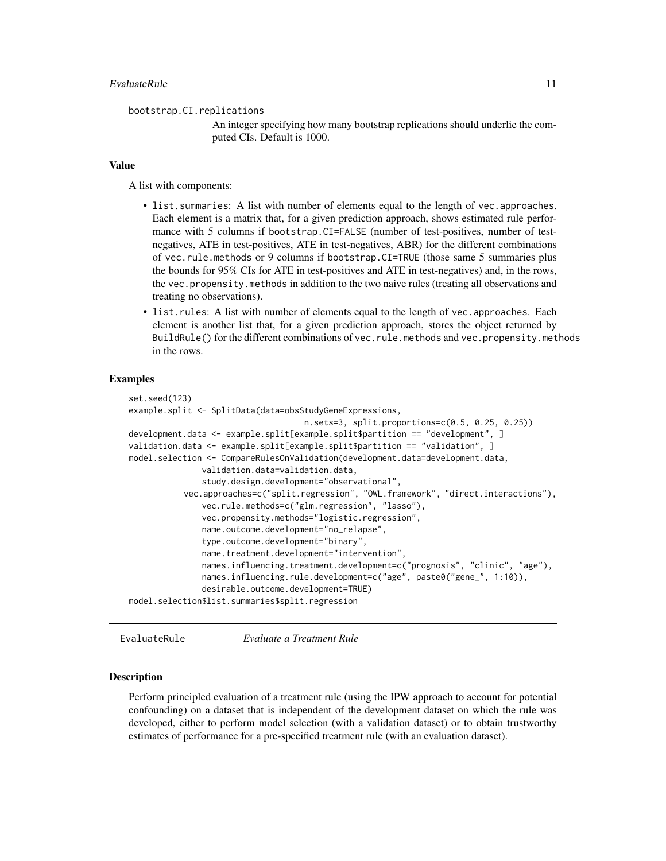<span id="page-10-0"></span>bootstrap.CI.replications

An integer specifying how many bootstrap replications should underlie the computed CIs. Default is 1000.

#### Value

A list with components:

- list.summaries: A list with number of elements equal to the length of vec.approaches. Each element is a matrix that, for a given prediction approach, shows estimated rule performance with 5 columns if bootstrap.CI=FALSE (number of test-positives, number of testnegatives, ATE in test-positives, ATE in test-negatives, ABR) for the different combinations of vec.rule.methods or 9 columns if bootstrap.CI=TRUE (those same 5 summaries plus the bounds for 95% CIs for ATE in test-positives and ATE in test-negatives) and, in the rows, the vec.propensity.methods in addition to the two naive rules (treating all observations and treating no observations).
- list.rules: A list with number of elements equal to the length of vec.approaches. Each element is another list that, for a given prediction approach, stores the object returned by BuildRule() for the different combinations of vec.rule.methods and vec.propensity.methods in the rows.

#### Examples

```
set.seed(123)
example.split <- SplitData(data=obsStudyGeneExpressions,
                                    n.sets=3, split.proportions=c(0.5, 0.25, 0.25))
development.data <- example.split[example.split$partition == "development", ]
validation.data <- example.split[example.split$partition == "validation", ]
model.selection <- CompareRulesOnValidation(development.data=development.data,
               validation.data=validation.data,
               study.design.development="observational",
           vec.approaches=c("split.regression", "OWL.framework", "direct.interactions"),
               vec.rule.methods=c("glm.regression", "lasso"),
               vec.propensity.methods="logistic.regression",
               name.outcome.development="no_relapse",
               type.outcome.development="binary",
               name.treatment.development="intervention",
               names.influencing.treatment.development=c("prognosis", "clinic", "age"),
               names.influencing.rule.development=c("age", paste0("gene_", 1:10)),
               desirable.outcome.development=TRUE)
model.selection$list.summaries$split.regression
```
EvaluateRule *Evaluate a Treatment Rule*

#### Description

Perform principled evaluation of a treatment rule (using the IPW approach to account for potential confounding) on a dataset that is independent of the development dataset on which the rule was developed, either to perform model selection (with a validation dataset) or to obtain trustworthy estimates of performance for a pre-specified treatment rule (with an evaluation dataset).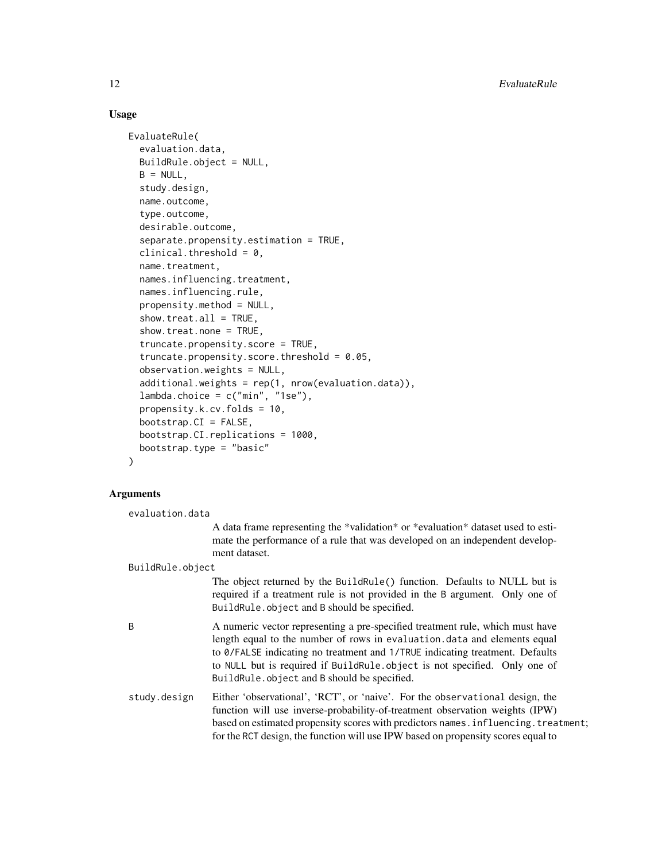#### Usage

```
EvaluateRule(
  evaluation.data,
  BuildRule.object = NULL,
  B = NULL,study.design,
  name.outcome,
  type.outcome,
  desirable.outcome,
  separate.propensity.estimation = TRUE,
  clinical.threshold = 0,
  name.treatment,
  names.influencing.treatment,
  names.influencing.rule,
  propensity.method = NULL,
  show.treat.al1 = TRUE,show.treat.none = TRUE,
  truncate.propensity.score = TRUE,
  truncate.propensity.score.threshold = 0.05,
  observation.weights = NULL,
  additional.weights = rep(1, nrow(evaluation.data)),
  lambda.choice = c("min", "1se"),
  propensity.k.cv.folds = 10,
  bootstrap.CI = FALSE,
  bootstrap.CI.replications = 1000,
  bootstrap.type = "basic"
\mathcal{L}
```
#### $\mathbf A$

| ⊾rguments        |                                                                                                                                                                                                                                                                                                                                                                       |
|------------------|-----------------------------------------------------------------------------------------------------------------------------------------------------------------------------------------------------------------------------------------------------------------------------------------------------------------------------------------------------------------------|
| evaluation.data  |                                                                                                                                                                                                                                                                                                                                                                       |
|                  | A data frame representing the *validation* or *evaluation* dataset used to esti-<br>mate the performance of a rule that was developed on an independent develop-<br>ment dataset.                                                                                                                                                                                     |
| BuildRule.object |                                                                                                                                                                                                                                                                                                                                                                       |
|                  | The object returned by the BuildRule() function. Defaults to NULL but is<br>required if a treatment rule is not provided in the B argument. Only one of<br>BuildRule.object and B should be specified.                                                                                                                                                                |
| B                | A numeric vector representing a pre-specified treatment rule, which must have<br>length equal to the number of rows in evaluation.data and elements equal<br>to 0/FALSE indicating no treatment and 1/TRUE indicating treatment. Defaults<br>to NULL but is required if BuildRule.object is not specified. Only one of<br>BuildRule.object and B should be specified. |
| study.design     | Either 'observational', 'RCT', or 'naive'. For the observational design, the<br>function will use inverse-probability-of-treatment observation weights (IPW)<br>based on estimated propensity scores with predictors names. influencing. treatment;<br>for the RCT design, the function will use IPW based on propensity scores equal to                              |
|                  |                                                                                                                                                                                                                                                                                                                                                                       |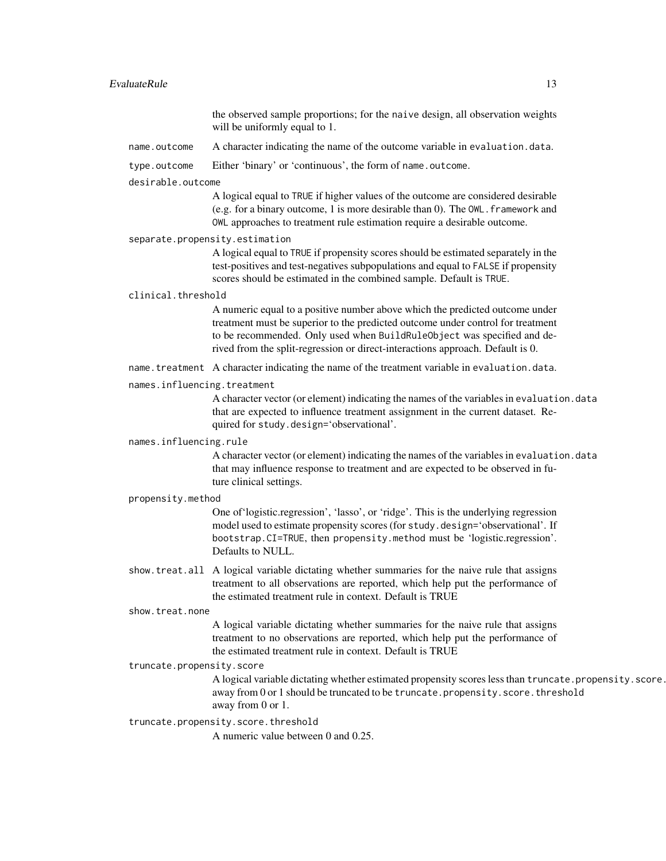#### EvaluateRule 13

the observed sample proportions; for the naive design, all observation weights will be uniformly equal to 1.

name.outcome A character indicating the name of the outcome variable in evaluation.data.

#### type.outcome Either 'binary' or 'continuous', the form of name.outcome.

#### desirable.outcome

A logical equal to TRUE if higher values of the outcome are considered desirable (e.g. for a binary outcome, 1 is more desirable than 0). The OWL.framework and OWL approaches to treatment rule estimation require a desirable outcome.

#### separate.propensity.estimation

A logical equal to TRUE if propensity scores should be estimated separately in the test-positives and test-negatives subpopulations and equal to FALSE if propensity scores should be estimated in the combined sample. Default is TRUE.

#### clinical.threshold

A numeric equal to a positive number above which the predicted outcome under treatment must be superior to the predicted outcome under control for treatment to be recommended. Only used when BuildRuleObject was specified and derived from the split-regression or direct-interactions approach. Default is 0.

name.treatment A character indicating the name of the treatment variable in evaluation.data.

#### names.influencing.treatment

A character vector (or element) indicating the names of the variables in evaluation.data that are expected to influence treatment assignment in the current dataset. Required for study.design='observational'.

#### names.influencing.rule

A character vector (or element) indicating the names of the variables in evaluation.data that may influence response to treatment and are expected to be observed in future clinical settings.

#### propensity.method

One of'logistic.regression', 'lasso', or 'ridge'. This is the underlying regression model used to estimate propensity scores (for study.design='observational'. If bootstrap.CI=TRUE, then propensity.method must be 'logistic.regression'. Defaults to NULL.

show.treat.all A logical variable dictating whether summaries for the naive rule that assigns treatment to all observations are reported, which help put the performance of the estimated treatment rule in context. Default is TRUE

#### show.treat.none

A logical variable dictating whether summaries for the naive rule that assigns treatment to no observations are reported, which help put the performance of the estimated treatment rule in context. Default is TRUE

#### truncate.propensity.score

A logical variable dictating whether estimated propensity scores less than truncate.propensity.score. away from 0 or 1 should be truncated to be truncate.propensity.score.threshold away from 0 or 1.

#### truncate.propensity.score.threshold

A numeric value between 0 and 0.25.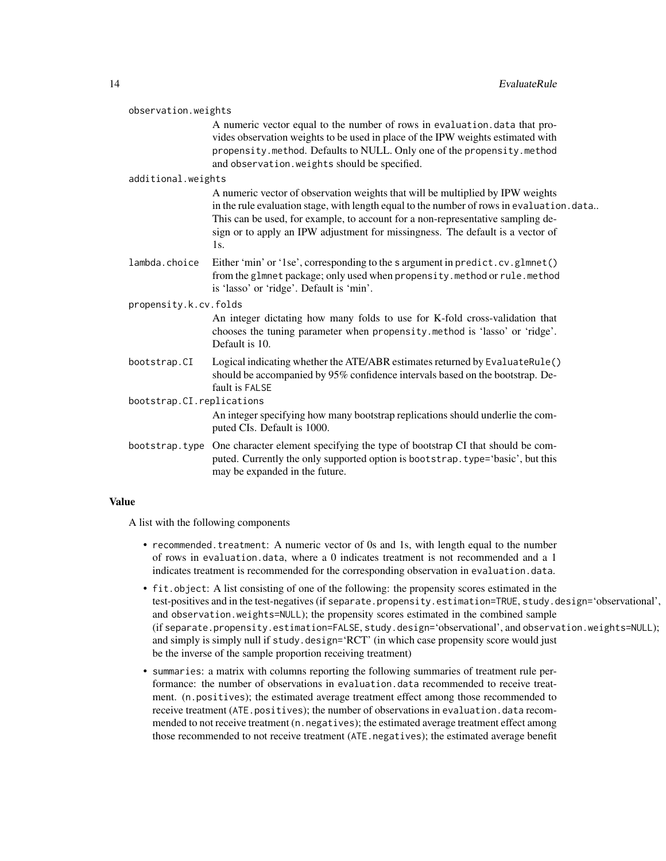A numeric vector equal to the number of rows in evaluation.data that provides observation weights to be used in place of the IPW weights estimated with propensity.method. Defaults to NULL. Only one of the propensity.method and observation.weights should be specified.

#### additional.weights

A numeric vector of observation weights that will be multiplied by IPW weights in the rule evaluation stage, with length equal to the number of rows in evaluation.data.. This can be used, for example, to account for a non-representative sampling design or to apply an IPW adjustment for missingness. The default is a vector of 1s.

lambda.choice Either 'min' or '1se', corresponding to the s argument in predict.cv.glmnet() from the glmnet package; only used when propensity.method or rule.method is 'lasso' or 'ridge'. Default is 'min'.

propensity.k.cv.folds

An integer dictating how many folds to use for K-fold cross-validation that chooses the tuning parameter when propensity.method is 'lasso' or 'ridge'. Default is 10.

bootstrap.CI Logical indicating whether the ATE/ABR estimates returned by EvaluateRule() should be accompanied by 95% confidence intervals based on the bootstrap. Default is FALSE

bootstrap.CI.replications

An integer specifying how many bootstrap replications should underlie the computed CIs. Default is 1000.

bootstrap.type One character element specifying the type of bootstrap CI that should be computed. Currently the only supported option is bootstrap.type='basic', but this may be expanded in the future.

#### Value

A list with the following components

- recommended.treatment: A numeric vector of 0s and 1s, with length equal to the number of rows in evaluation.data, where a 0 indicates treatment is not recommended and a 1 indicates treatment is recommended for the corresponding observation in evaluation.data.
- fit.object: A list consisting of one of the following: the propensity scores estimated in the test-positives and in the test-negatives (if separate.propensity.estimation=TRUE, study.design='observational', and observation.weights=NULL); the propensity scores estimated in the combined sample (if separate.propensity.estimation=FALSE, study.design='observational', and observation.weights=NULL); and simply is simply null if study.design='RCT' (in which case propensity score would just be the inverse of the sample proportion receiving treatment)
- summaries: a matrix with columns reporting the following summaries of treatment rule performance: the number of observations in evaluation.data recommended to receive treatment. (n.positives); the estimated average treatment effect among those recommended to receive treatment (ATE.positives); the number of observations in evaluation.data recommended to not receive treatment (n. negatives); the estimated average treatment effect among those recommended to not receive treatment (ATE.negatives); the estimated average benefit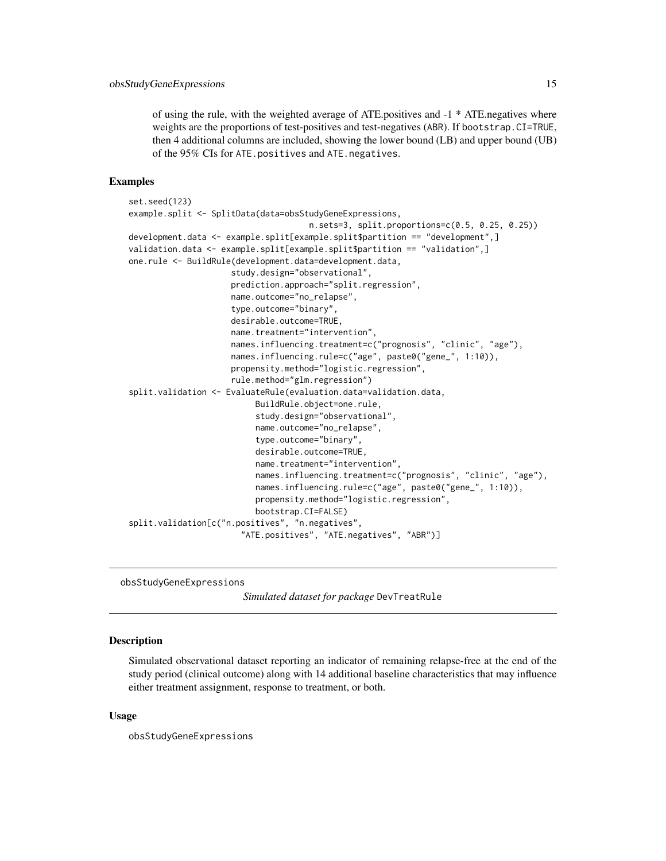<span id="page-14-0"></span>of using the rule, with the weighted average of ATE.positives and -1 \* ATE.negatives where weights are the proportions of test-positives and test-negatives (ABR). If bootstrap.CI=TRUE, then 4 additional columns are included, showing the lower bound (LB) and upper bound (UB) of the 95% CIs for ATE.positives and ATE.negatives.

#### Examples

```
set.seed(123)
example.split <- SplitData(data=obsStudyGeneExpressions,
                                     n.sets=3, split.proportions=c(0.5, 0.25, 0.25))
development.data <- example.split[example.split$partition == "development",]
validation.data <- example.split[example.split$partition == "validation",]
one.rule <- BuildRule(development.data=development.data,
                     study.design="observational",
                     prediction.approach="split.regression",
                     name.outcome="no_relapse",
                     type.outcome="binary",
                     desirable.outcome=TRUE,
                     name.treatment="intervention",
                     names.influencing.treatment=c("prognosis", "clinic", "age"),
                     names.influencing.rule=c("age", paste0("gene_", 1:10)),
                     propensity.method="logistic.regression",
                     rule.method="glm.regression")
split.validation <- EvaluateRule(evaluation.data=validation.data,
                          BuildRule.object=one.rule,
                          study.design="observational",
                          name.outcome="no_relapse",
                          type.outcome="binary",
                          desirable.outcome=TRUE,
                          name.treatment="intervention",
                          names.influencing.treatment=c("prognosis", "clinic", "age"),
                          names.influencing.rule=c("age", paste0("gene_", 1:10)),
                          propensity.method="logistic.regression",
                          bootstrap.CI=FALSE)
split.validation[c("n.positives", "n.negatives",
                       "ATE.positives", "ATE.negatives", "ABR")]
```
obsStudyGeneExpressions

*Simulated dataset for package* DevTreatRule

#### Description

Simulated observational dataset reporting an indicator of remaining relapse-free at the end of the study period (clinical outcome) along with 14 additional baseline characteristics that may influence either treatment assignment, response to treatment, or both.

#### Usage

obsStudyGeneExpressions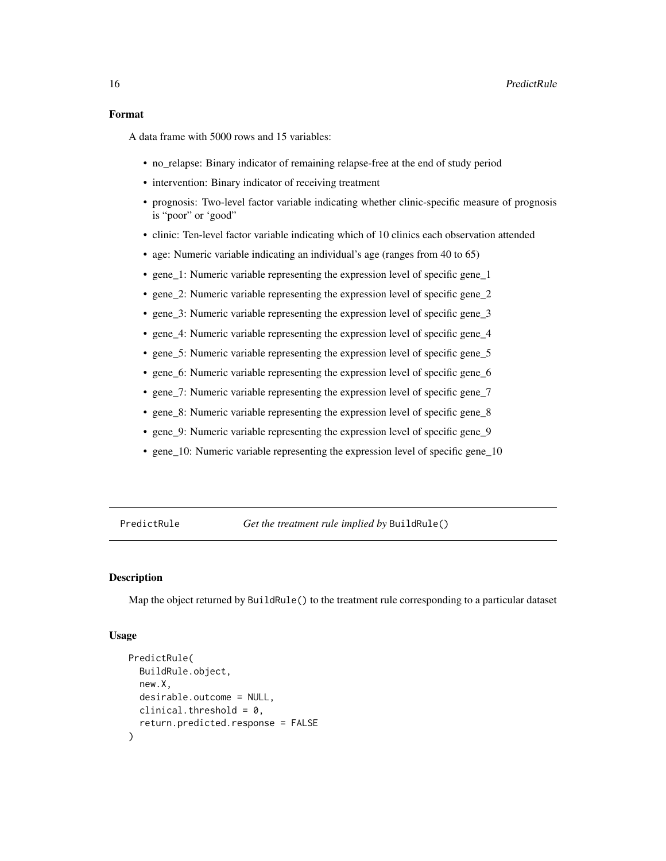<span id="page-15-0"></span>A data frame with 5000 rows and 15 variables:

- no relapse: Binary indicator of remaining relapse-free at the end of study period
- intervention: Binary indicator of receiving treatment
- prognosis: Two-level factor variable indicating whether clinic-specific measure of prognosis is "poor" or 'good"
- clinic: Ten-level factor variable indicating which of 10 clinics each observation attended
- age: Numeric variable indicating an individual's age (ranges from 40 to 65)
- gene\_1: Numeric variable representing the expression level of specific gene\_1
- gene 2: Numeric variable representing the expression level of specific gene 2
- gene\_3: Numeric variable representing the expression level of specific gene\_3
- gene\_4: Numeric variable representing the expression level of specific gene\_4
- gene\_5: Numeric variable representing the expression level of specific gene\_5
- gene\_6: Numeric variable representing the expression level of specific gene\_6
- gene\_7: Numeric variable representing the expression level of specific gene\_7
- gene\_8: Numeric variable representing the expression level of specific gene\_8
- gene\_9: Numeric variable representing the expression level of specific gene\_9
- gene\_10: Numeric variable representing the expression level of specific gene\_10

PredictRule *Get the treatment rule implied by* BuildRule()

#### Description

Map the object returned by BuildRule() to the treatment rule corresponding to a particular dataset

#### Usage

```
PredictRule(
  BuildRule.object,
 new.X,
  desirable.outcome = NULL,
 clinical.threshold = 0,
  return.predicted.response = FALSE
)
```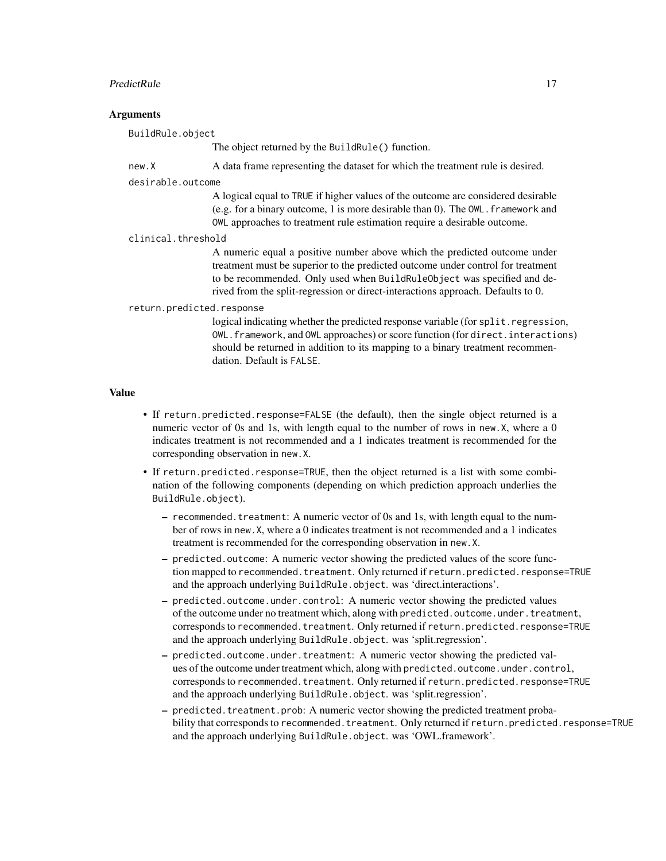#### PredictRule 17

#### **Arguments**

BuildRule.object

The object returned by the BuildRule() function.

new.X A data frame representing the dataset for which the treatment rule is desired.

desirable.outcome

A logical equal to TRUE if higher values of the outcome are considered desirable (e.g. for a binary outcome, 1 is more desirable than 0). The OWL.framework and OWL approaches to treatment rule estimation require a desirable outcome.

#### clinical.threshold

A numeric equal a positive number above which the predicted outcome under treatment must be superior to the predicted outcome under control for treatment to be recommended. Only used when BuildRuleObject was specified and derived from the split-regression or direct-interactions approach. Defaults to 0.

#### return.predicted.response

logical indicating whether the predicted response variable (for split.regression, OWL.framework, and OWL approaches) or score function (for direct.interactions) should be returned in addition to its mapping to a binary treatment recommendation. Default is FALSE.

#### Value

- If return.predicted.response=FALSE (the default), then the single object returned is a numeric vector of 0s and 1s, with length equal to the number of rows in new.X, where a 0 indicates treatment is not recommended and a 1 indicates treatment is recommended for the corresponding observation in new.X.
- If return.predicted.response=TRUE, then the object returned is a list with some combination of the following components (depending on which prediction approach underlies the BuildRule.object).
	- $-$  recommended. treatment: A numeric vector of 0s and 1s, with length equal to the number of rows in new.X, where a 0 indicates treatment is not recommended and a 1 indicates treatment is recommended for the corresponding observation in new.X.
	- predicted.outcome: A numeric vector showing the predicted values of the score function mapped to recommended.treatment. Only returned if return.predicted.response=TRUE and the approach underlying BuildRule.object. was 'direct.interactions'.
	- predicted.outcome.under.control: A numeric vector showing the predicted values of the outcome under no treatment which, along with predicted.outcome.under.treatment, corresponds to recommended.treatment. Only returned if return.predicted.response=TRUE and the approach underlying BuildRule.object. was 'split.regression'.
	- predicted.outcome.under.treatment: A numeric vector showing the predicted values of the outcome under treatment which, along with predicted.outcome.under.control, corresponds to recommended.treatment. Only returned if return.predicted.response=TRUE and the approach underlying BuildRule.object. was 'split.regression'.
	- predicted.treatment.prob: A numeric vector showing the predicted treatment probability that corresponds to recommended.treatment. Only returned if return.predicted.response=TRUE and the approach underlying BuildRule.object. was 'OWL.framework'.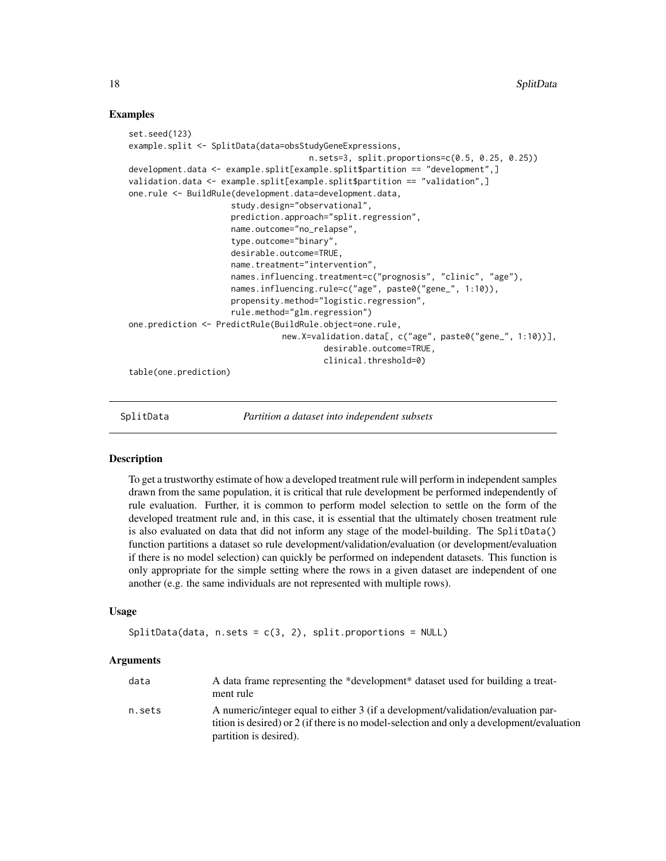#### Examples

```
set.seed(123)
example.split <- SplitData(data=obsStudyGeneExpressions,
                                     n.sets=3, split.proportions=c(0.5, 0.25, 0.25))
development.data <- example.split[example.split$partition == "development",]
validation.data <- example.split[example.split$partition == "validation",]
one.rule <- BuildRule(development.data=development.data,
                     study.design="observational",
                     prediction.approach="split.regression",
                     name.outcome="no_relapse",
                     type.outcome="binary",
                     desirable.outcome=TRUE,
                     name.treatment="intervention",
                     names.influencing.treatment=c("prognosis", "clinic", "age"),
                     names.influencing.rule=c("age", paste0("gene_", 1:10)),
                     propensity.method="logistic.regression",
                     rule.method="glm.regression")
one.prediction <- PredictRule(BuildRule.object=one.rule,
                               new.X=validation.data[, c("age", paste0("gene_", 1:10))],
                                        desirable.outcome=TRUE,
                                        clinical.threshold=0)
table(one.prediction)
```
SplitData *Partition a dataset into independent subsets*

#### Description

To get a trustworthy estimate of how a developed treatment rule will perform in independent samples drawn from the same population, it is critical that rule development be performed independently of rule evaluation. Further, it is common to perform model selection to settle on the form of the developed treatment rule and, in this case, it is essential that the ultimately chosen treatment rule is also evaluated on data that did not inform any stage of the model-building. The SplitData() function partitions a dataset so rule development/validation/evaluation (or development/evaluation if there is no model selection) can quickly be performed on independent datasets. This function is only appropriate for the simple setting where the rows in a given dataset are independent of one another (e.g. the same individuals are not represented with multiple rows).

#### Usage

```
SplitData(data, n.sets = c(3, 2), split.proportions = NULL)
```
#### Arguments

| data   | A data frame representing the *development* dataset used for building a treat-<br>ment rule                                                                                   |
|--------|-------------------------------------------------------------------------------------------------------------------------------------------------------------------------------|
| n.sets | A numeric/integer equal to either 3 (if a development/validation/evaluation par-<br>tition is desired) or 2 (if there is no model-selection and only a development/evaluation |
|        | partition is desired).                                                                                                                                                        |

<span id="page-17-0"></span>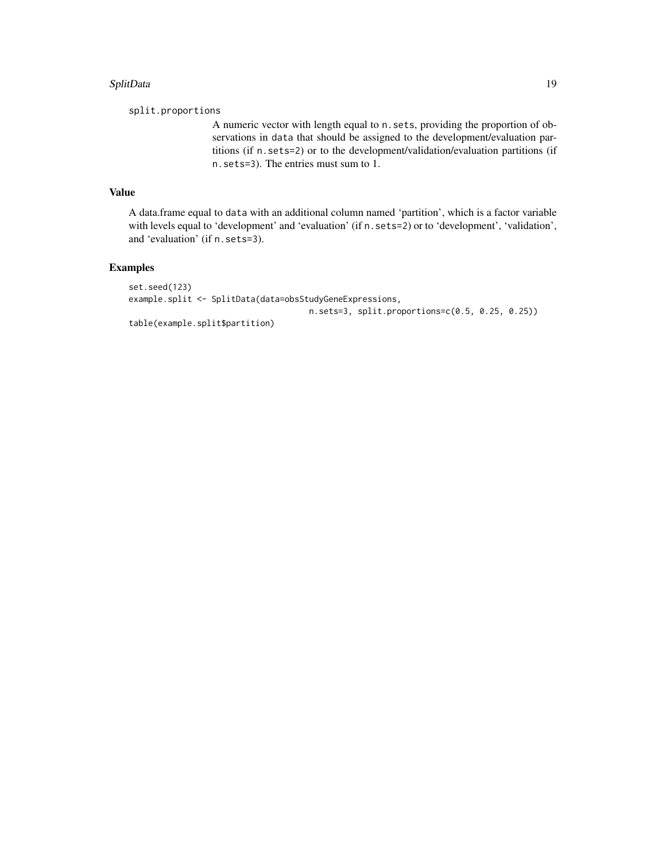#### SplitData 19

split.proportions

A numeric vector with length equal to n.sets, providing the proportion of observations in data that should be assigned to the development/evaluation partitions (if n.sets=2) or to the development/validation/evaluation partitions (if n.sets=3). The entries must sum to 1.

#### Value

A data.frame equal to data with an additional column named 'partition', which is a factor variable with levels equal to 'development' and 'evaluation' (if n. sets=2) or to 'development', 'validation', and 'evaluation' (if n.sets=3).

#### Examples

```
set.seed(123)
example.split <- SplitData(data=obsStudyGeneExpressions,
                                     n.sets=3, split.proportions=c(0.5, 0.25, 0.25))
table(example.split$partition)
```